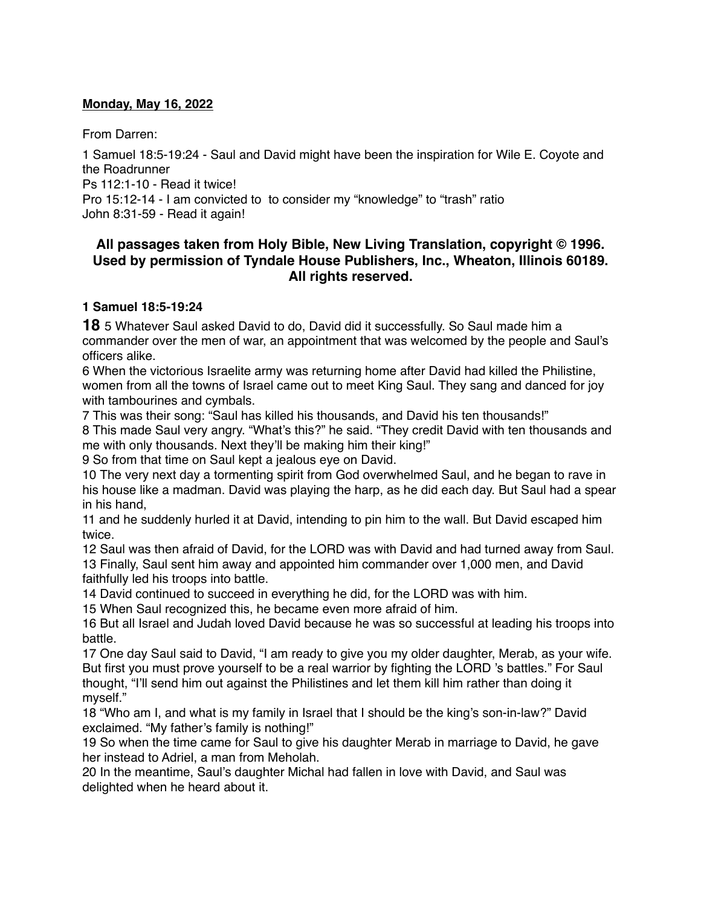### **Monday, May 16, 2022**

From Darren:

1 Samuel 18:5-19:24 - Saul and David might have been the inspiration for Wile E. Coyote and the Roadrunner Ps 112:1-10 - Read it twice!

Pro 15:12-14 - I am convicted to to consider my "knowledge" to "trash" ratio

John 8:31-59 - Read it again!

# **All passages taken from Holy Bible, [New Living Translation](http://www.newlivingtranslation.com/), copyright © 1996. Used by permission of [Tyndale House Publishers](http://tyndale.com/), Inc., Wheaton, Illinois 60189. All rights reserved.**

### **1 Samuel 18:5-19:24**

**18** 5 Whatever Saul asked David to do, David did it successfully. So Saul made him a commander over the men of war, an appointment that was welcomed by the people and Saul's officers alike.

6 When the victorious Israelite army was returning home after David had killed the Philistine, women from all the towns of Israel came out to meet King Saul. They sang and danced for joy with tambourines and cymbals.

7 This was their song: "Saul has killed his thousands, and David his ten thousands!"

8 This made Saul very angry. "What's this?" he said. "They credit David with ten thousands and me with only thousands. Next they'll be making him their king!"

9 So from that time on Saul kept a jealous eye on David.

10 The very next day a tormenting spirit from God overwhelmed Saul, and he began to rave in his house like a madman. David was playing the harp, as he did each day. But Saul had a spear in his hand,

11 and he suddenly hurled it at David, intending to pin him to the wall. But David escaped him twice.

12 Saul was then afraid of David, for the LORD was with David and had turned away from Saul. 13 Finally, Saul sent him away and appointed him commander over 1,000 men, and David faithfully led his troops into battle.

14 David continued to succeed in everything he did, for the LORD was with him.

15 When Saul recognized this, he became even more afraid of him.

16 But all Israel and Judah loved David because he was so successful at leading his troops into battle.

17 One day Saul said to David, "I am ready to give you my older daughter, Merab, as your wife. But first you must prove yourself to be a real warrior by fighting the LORD 's battles." For Saul thought, "I'll send him out against the Philistines and let them kill him rather than doing it myself."

18 "Who am I, and what is my family in Israel that I should be the king's son-in-law?" David exclaimed. "My father's family is nothing!"

19 So when the time came for Saul to give his daughter Merab in marriage to David, he gave her instead to Adriel, a man from Meholah.

20 In the meantime, Saul's daughter Michal had fallen in love with David, and Saul was delighted when he heard about it.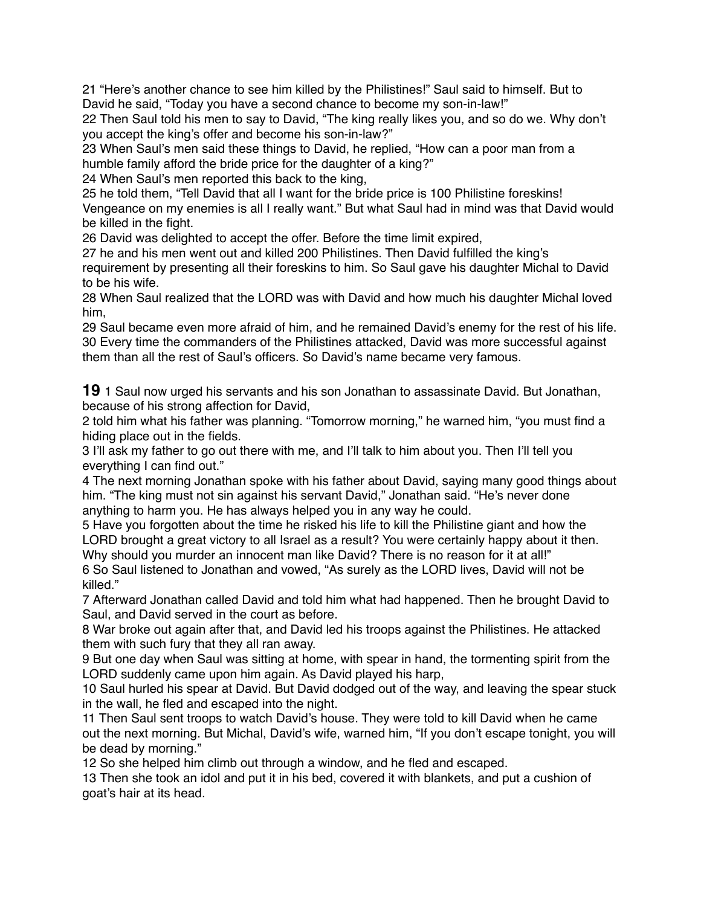21 "Here's another chance to see him killed by the Philistines!" Saul said to himself. But to David he said, "Today you have a second chance to become my son-in-law!"

22 Then Saul told his men to say to David, "The king really likes you, and so do we. Why don't you accept the king's offer and become his son-in-law?"

23 When Saul's men said these things to David, he replied, "How can a poor man from a humble family afford the bride price for the daughter of a king?"

24 When Saul's men reported this back to the king,

25 he told them, "Tell David that all I want for the bride price is 100 Philistine foreskins! Vengeance on my enemies is all I really want." But what Saul had in mind was that David would be killed in the fight.

26 David was delighted to accept the offer. Before the time limit expired,

27 he and his men went out and killed 200 Philistines. Then David fulfilled the king's requirement by presenting all their foreskins to him. So Saul gave his daughter Michal to David to be his wife.

28 When Saul realized that the LORD was with David and how much his daughter Michal loved him,

29 Saul became even more afraid of him, and he remained David's enemy for the rest of his life. 30 Every time the commanders of the Philistines attacked, David was more successful against them than all the rest of Saul's officers. So David's name became very famous.

**19** 1 Saul now urged his servants and his son Jonathan to assassinate David. But Jonathan, because of his strong affection for David,

2 told him what his father was planning. "Tomorrow morning," he warned him, "you must find a hiding place out in the fields.

3 I'll ask my father to go out there with me, and I'll talk to him about you. Then I'll tell you everything I can find out."

4 The next morning Jonathan spoke with his father about David, saying many good things about him. "The king must not sin against his servant David," Jonathan said. "He's never done anything to harm you. He has always helped you in any way he could.

5 Have you forgotten about the time he risked his life to kill the Philistine giant and how the LORD brought a great victory to all Israel as a result? You were certainly happy about it then. Why should you murder an innocent man like David? There is no reason for it at all!"

6 So Saul listened to Jonathan and vowed, "As surely as the LORD lives, David will not be killed."

7 Afterward Jonathan called David and told him what had happened. Then he brought David to Saul, and David served in the court as before.

8 War broke out again after that, and David led his troops against the Philistines. He attacked them with such fury that they all ran away.

9 But one day when Saul was sitting at home, with spear in hand, the tormenting spirit from the LORD suddenly came upon him again. As David played his harp,

10 Saul hurled his spear at David. But David dodged out of the way, and leaving the spear stuck in the wall, he fled and escaped into the night.

11 Then Saul sent troops to watch David's house. They were told to kill David when he came out the next morning. But Michal, David's wife, warned him, "If you don't escape tonight, you will be dead by morning."

12 So she helped him climb out through a window, and he fled and escaped.

13 Then she took an idol and put it in his bed, covered it with blankets, and put a cushion of goat's hair at its head.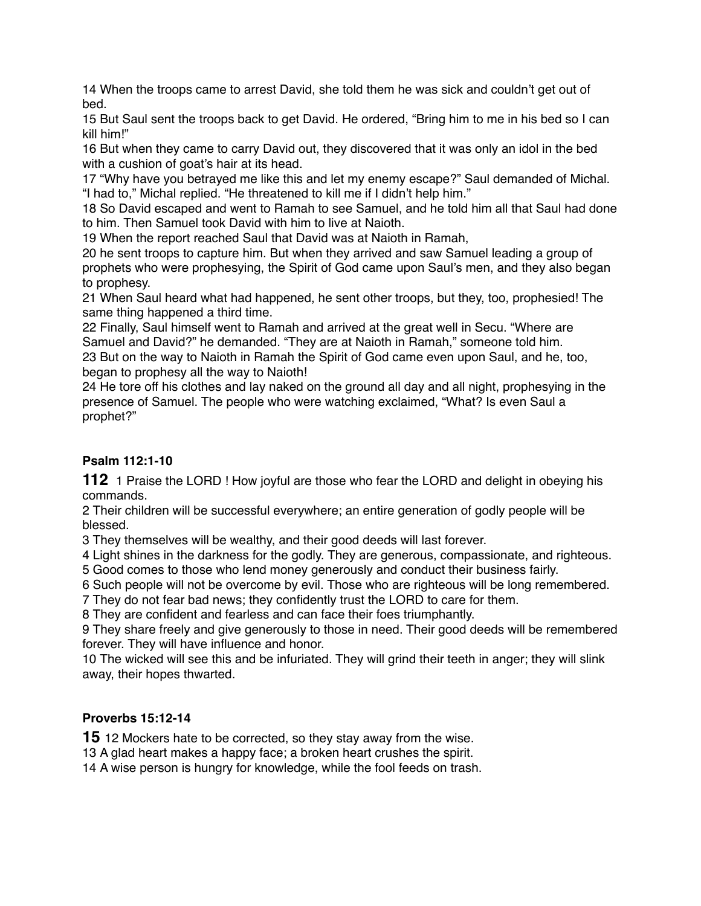14 When the troops came to arrest David, she told them he was sick and couldn't get out of bed.

15 But Saul sent the troops back to get David. He ordered, "Bring him to me in his bed so I can kill him!"

16 But when they came to carry David out, they discovered that it was only an idol in the bed with a cushion of goat's hair at its head.

17 "Why have you betrayed me like this and let my enemy escape?" Saul demanded of Michal. "I had to," Michal replied. "He threatened to kill me if I didn't help him."

18 So David escaped and went to Ramah to see Samuel, and he told him all that Saul had done to him. Then Samuel took David with him to live at Naioth.

19 When the report reached Saul that David was at Naioth in Ramah,

20 he sent troops to capture him. But when they arrived and saw Samuel leading a group of prophets who were prophesying, the Spirit of God came upon Saul's men, and they also began to prophesy.

21 When Saul heard what had happened, he sent other troops, but they, too, prophesied! The same thing happened a third time.

22 Finally, Saul himself went to Ramah and arrived at the great well in Secu. "Where are Samuel and David?" he demanded. "They are at Naioth in Ramah," someone told him. 23 But on the way to Naioth in Ramah the Spirit of God came even upon Saul, and he, too, began to prophesy all the way to Naioth!

24 He tore off his clothes and lay naked on the ground all day and all night, prophesying in the presence of Samuel. The people who were watching exclaimed, "What? Is even Saul a prophet?"

# **Psalm 112:1-10**

**112** 1 Praise the LORD ! How joyful are those who fear the LORD and delight in obeying his commands.

2 Their children will be successful everywhere; an entire generation of godly people will be blessed.

3 They themselves will be wealthy, and their good deeds will last forever.

4 Light shines in the darkness for the godly. They are generous, compassionate, and righteous.

5 Good comes to those who lend money generously and conduct their business fairly.

6 Such people will not be overcome by evil. Those who are righteous will be long remembered.

7 They do not fear bad news; they confidently trust the LORD to care for them.

8 They are confident and fearless and can face their foes triumphantly.

9 They share freely and give generously to those in need. Their good deeds will be remembered forever. They will have influence and honor.

10 The wicked will see this and be infuriated. They will grind their teeth in anger; they will slink away, their hopes thwarted.

## **Proverbs 15:12-14**

**15** 12 Mockers hate to be corrected, so they stay away from the wise.

13 A glad heart makes a happy face; a broken heart crushes the spirit.

14 A wise person is hungry for knowledge, while the fool feeds on trash.